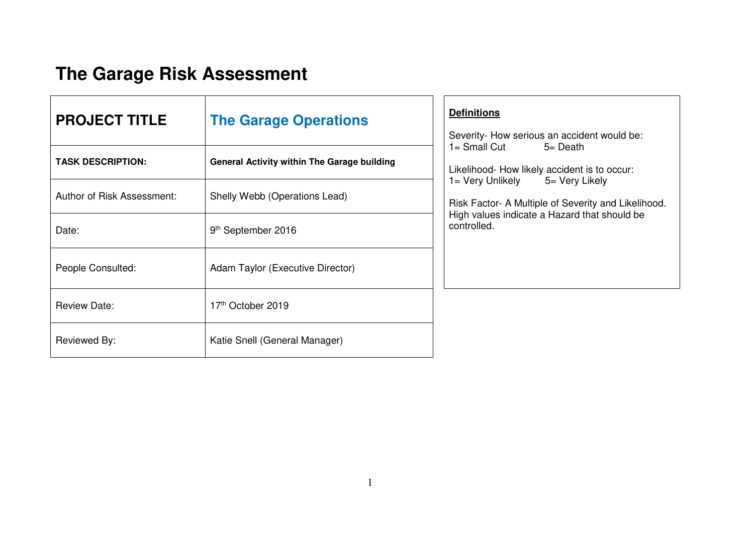## **The Garage Risk Assessment**

| <b>PROJECT TITLE</b>       | <b>The Garage Operations</b>                       | <b>Definitions</b><br>Severity- How serious an accident would be:                                                                      |
|----------------------------|----------------------------------------------------|----------------------------------------------------------------------------------------------------------------------------------------|
| <b>TASK DESCRIPTION:</b>   | <b>General Activity within The Garage building</b> | $1 =$ Small Cut<br>$5 = Death$<br>Likelihood- How likely accident is to occur:                                                         |
| Author of Risk Assessment: | Shelly Webb (Operations Lead)                      | 1= Very Unlikely 5= Very Likely<br>Risk Factor- A Multiple of Severity and Likelihood.<br>High values indicate a Hazard that should be |
| Date:                      | 9 <sup>th</sup> September 2016                     | controlled.                                                                                                                            |
| People Consulted:          | Adam Taylor (Executive Director)                   |                                                                                                                                        |
| <b>Review Date:</b>        | 17th October 2019                                  |                                                                                                                                        |
| Reviewed By:               | Katie Snell (General Manager)                      |                                                                                                                                        |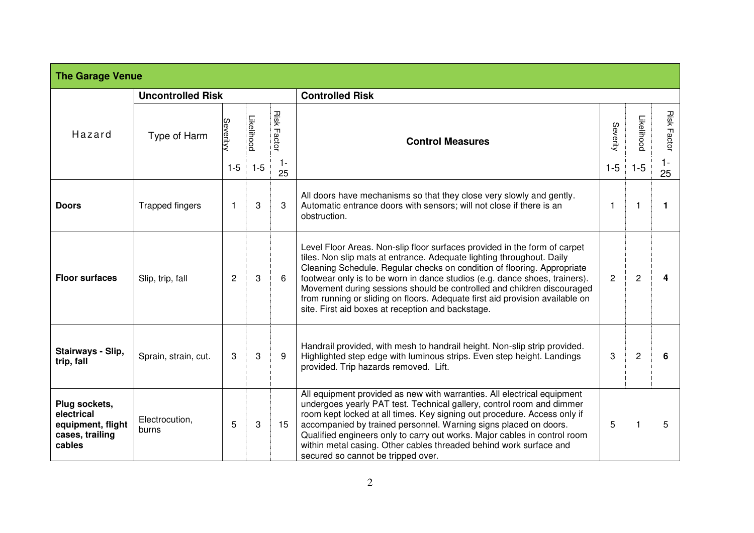| <b>The Garage Venue</b>                                                       |                          |                |            |                    |                                                                                                                                                                                                                                                                                                                                                                                                                                                                                                                            |          |                |                    |  |  |
|-------------------------------------------------------------------------------|--------------------------|----------------|------------|--------------------|----------------------------------------------------------------------------------------------------------------------------------------------------------------------------------------------------------------------------------------------------------------------------------------------------------------------------------------------------------------------------------------------------------------------------------------------------------------------------------------------------------------------------|----------|----------------|--------------------|--|--|
|                                                                               | <b>Uncontrolled Risk</b> |                |            |                    | <b>Controlled Risk</b>                                                                                                                                                                                                                                                                                                                                                                                                                                                                                                     |          |                |                    |  |  |
| Hazard                                                                        | Type of Harm             | Severity       | Likelihood | <b>Risk Factor</b> | <b>Control Measures</b>                                                                                                                                                                                                                                                                                                                                                                                                                                                                                                    | Severity | Likelihood     | <b>Risk Factor</b> |  |  |
|                                                                               |                          | $1 - 5$        | $1 - 5$    | $1 -$<br>25        |                                                                                                                                                                                                                                                                                                                                                                                                                                                                                                                            | $1 - 5$  | $1-5$          | $1 -$<br>25        |  |  |
| <b>Doors</b>                                                                  | <b>Trapped fingers</b>   | $\mathbf 1$    | 3          | 3                  | All doors have mechanisms so that they close very slowly and gently.<br>Automatic entrance doors with sensors; will not close if there is an<br>obstruction.                                                                                                                                                                                                                                                                                                                                                               | -1       |                |                    |  |  |
| <b>Floor surfaces</b>                                                         | Slip, trip, fall         | $\overline{2}$ | 3          | 6                  | Level Floor Areas. Non-slip floor surfaces provided in the form of carpet<br>tiles. Non slip mats at entrance. Adequate lighting throughout. Daily<br>Cleaning Schedule. Regular checks on condition of flooring. Appropriate<br>footwear only is to be worn in dance studios (e.g. dance shoes, trainers).<br>Movement during sessions should be controlled and children discouraged<br>from running or sliding on floors. Adequate first aid provision available on<br>site. First aid boxes at reception and backstage. | 2        | $\overline{c}$ |                    |  |  |
| Stairways - Slip,<br>trip, fall                                               | Sprain, strain, cut.     | 3              | 3          | 9                  | Handrail provided, with mesh to handrail height. Non-slip strip provided.<br>Highlighted step edge with luminous strips. Even step height. Landings<br>provided. Trip hazards removed. Lift.                                                                                                                                                                                                                                                                                                                               | 3        | $\overline{c}$ | 6                  |  |  |
| Plug sockets,<br>electrical<br>equipment, flight<br>cases, trailing<br>cables | Electrocution,<br>burns  | 5              | 3          | 15                 | All equipment provided as new with warranties. All electrical equipment<br>undergoes yearly PAT test. Technical gallery, control room and dimmer<br>room kept locked at all times. Key signing out procedure. Access only if<br>accompanied by trained personnel. Warning signs placed on doors.<br>Qualified engineers only to carry out works. Major cables in control room<br>within metal casing. Other cables threaded behind work surface and<br>secured so cannot be tripped over.                                  | 5        |                | 5                  |  |  |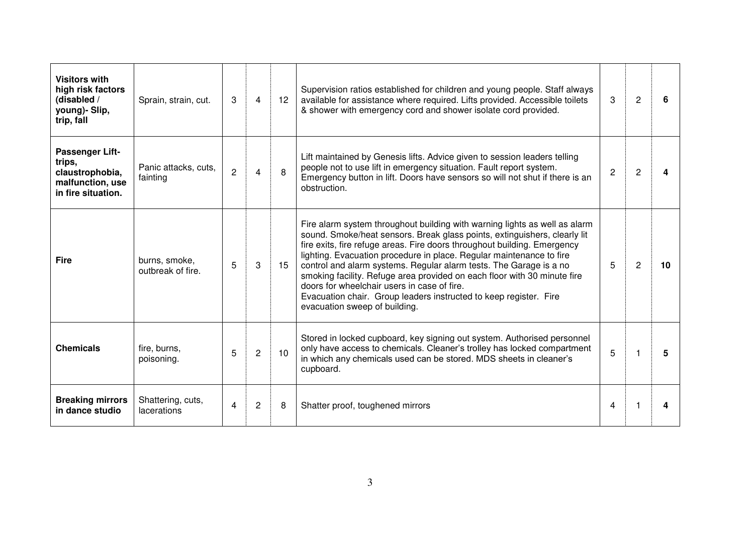| <b>Visitors with</b><br>high risk factors<br>(disabled /<br>young)- Slip,<br>trip, fall | Sprain, strain, cut.                    | 3 | 4              | 12 <sup>12</sup> | Supervision ratios established for children and young people. Staff always<br>available for assistance where required. Lifts provided. Accessible toilets<br>& shower with emergency cord and shower isolate cord provided.                                                                                                                                                                                                                                                                                                                                                                                        | 3 | $\overline{c}$ | 6  |
|-----------------------------------------------------------------------------------------|-----------------------------------------|---|----------------|------------------|--------------------------------------------------------------------------------------------------------------------------------------------------------------------------------------------------------------------------------------------------------------------------------------------------------------------------------------------------------------------------------------------------------------------------------------------------------------------------------------------------------------------------------------------------------------------------------------------------------------------|---|----------------|----|
| Passenger Lift-<br>trips,<br>claustrophobia,<br>malfunction, use<br>in fire situation.  | Panic attacks, cuts,<br>fainting        | 2 | 4              | 8                | Lift maintained by Genesis lifts. Advice given to session leaders telling<br>people not to use lift in emergency situation. Fault report system.<br>Emergency button in lift. Doors have sensors so will not shut if there is an<br>obstruction.                                                                                                                                                                                                                                                                                                                                                                   | 2 | $\overline{2}$ |    |
| <b>Fire</b>                                                                             | burns, smoke,<br>outbreak of fire.      | 5 | 3              | 15               | Fire alarm system throughout building with warning lights as well as alarm<br>sound. Smoke/heat sensors. Break glass points, extinguishers, clearly lit<br>fire exits, fire refuge areas. Fire doors throughout building. Emergency<br>lighting. Evacuation procedure in place. Regular maintenance to fire<br>control and alarm systems. Regular alarm tests. The Garage is a no<br>smoking facility. Refuge area provided on each floor with 30 minute fire<br>doors for wheelchair users in case of fire.<br>Evacuation chair. Group leaders instructed to keep register. Fire<br>evacuation sweep of building. | 5 | $\overline{2}$ | 10 |
| <b>Chemicals</b>                                                                        | fire, burns,<br>poisoning.              | 5 | $\overline{2}$ | 10               | Stored in locked cupboard, key signing out system. Authorised personnel<br>only have access to chemicals. Cleaner's trolley has locked compartment<br>in which any chemicals used can be stored. MDS sheets in cleaner's<br>cupboard.                                                                                                                                                                                                                                                                                                                                                                              | 5 |                | 5  |
| <b>Breaking mirrors</b><br>in dance studio                                              | Shattering, cuts,<br><b>lacerations</b> | 4 | 2              | 8                | Shatter proof, toughened mirrors                                                                                                                                                                                                                                                                                                                                                                                                                                                                                                                                                                                   | 4 |                |    |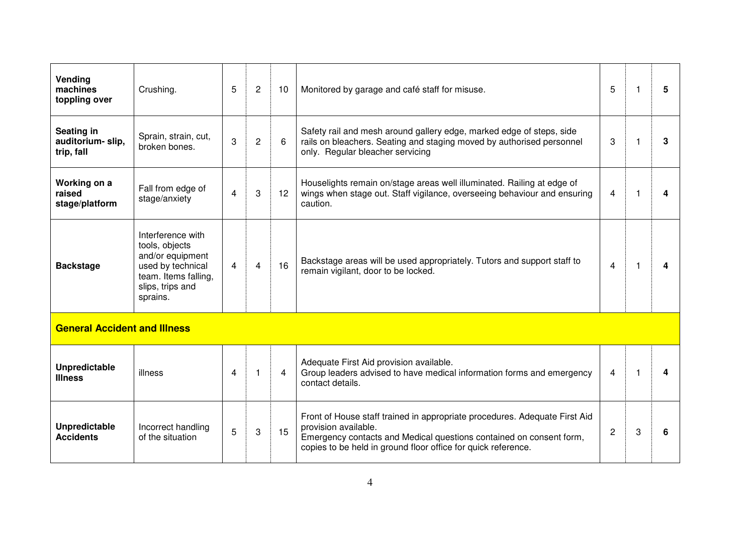| Vending<br>machines<br>toppling over         | Crushing.                                                                                                                            | 5 | $\overline{2}$ | 10 | Monitored by garage and café staff for misuse.                                                                                                                                                                                             | 5              | 1  | 5 |
|----------------------------------------------|--------------------------------------------------------------------------------------------------------------------------------------|---|----------------|----|--------------------------------------------------------------------------------------------------------------------------------------------------------------------------------------------------------------------------------------------|----------------|----|---|
| Seating in<br>auditorium-slip,<br>trip, fall | Sprain, strain, cut,<br>broken bones.                                                                                                | 3 | $\overline{2}$ | 6  | Safety rail and mesh around gallery edge, marked edge of steps, side<br>rails on bleachers. Seating and staging moved by authorised personnel<br>only. Regular bleacher servicing                                                          | 3              | -1 | 3 |
| Working on a<br>raised<br>stage/platform     | Fall from edge of<br>stage/anxiety                                                                                                   | 4 | 3              | 12 | Houselights remain on/stage areas well illuminated. Railing at edge of<br>wings when stage out. Staff vigilance, overseeing behaviour and ensuring<br>caution.                                                                             | 4              |    |   |
| <b>Backstage</b>                             | Interference with<br>tools, objects<br>and/or equipment<br>used by technical<br>team. Items falling,<br>slips, trips and<br>sprains. | 4 | 4              | 16 | Backstage areas will be used appropriately. Tutors and support staff to<br>remain vigilant, door to be locked.                                                                                                                             | 4              |    |   |
| <b>General Accident and Illness</b>          |                                                                                                                                      |   |                |    |                                                                                                                                                                                                                                            |                |    |   |
| <b>Unpredictable</b><br><b>Illness</b>       | illness                                                                                                                              | 4 |                | 4  | Adequate First Aid provision available.<br>Group leaders advised to have medical information forms and emergency<br>contact details.                                                                                                       | 4              |    |   |
| Unpredictable<br><b>Accidents</b>            | Incorrect handling<br>of the situation                                                                                               | 5 | 3              | 15 | Front of House staff trained in appropriate procedures. Adequate First Aid<br>provision available.<br>Emergency contacts and Medical questions contained on consent form,<br>copies to be held in ground floor office for quick reference. | $\overline{2}$ | 3  | 6 |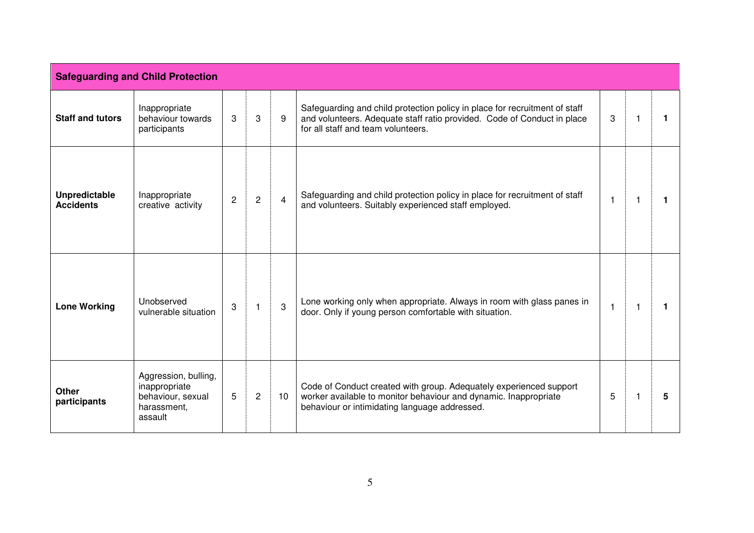|                                   | <b>Safeguarding and Child Protection</b>                                             |                |                |                 |                                                                                                                                                                                             |   |  |
|-----------------------------------|--------------------------------------------------------------------------------------|----------------|----------------|-----------------|---------------------------------------------------------------------------------------------------------------------------------------------------------------------------------------------|---|--|
| <b>Staff and tutors</b>           | Inappropriate<br>behaviour towards<br>participants                                   | 3              | 3              | 9               | Safeguarding and child protection policy in place for recruitment of staff<br>and volunteers. Adequate staff ratio provided. Code of Conduct in place<br>for all staff and team volunteers. | 3 |  |
| Unpredictable<br><b>Accidents</b> | Inappropriate<br>creative activity                                                   | $\overline{2}$ | $\overline{c}$ | $\overline{4}$  | Safeguarding and child protection policy in place for recruitment of staff<br>and volunteers. Suitably experienced staff employed.                                                          |   |  |
| <b>Lone Working</b>               | Unobserved<br>vulnerable situation                                                   | 3              |                | 3               | Lone working only when appropriate. Always in room with glass panes in<br>door. Only if young person comfortable with situation.                                                            |   |  |
| <b>Other</b><br>participants      | Aggression, bulling,<br>inappropriate<br>behaviour, sexual<br>harassment,<br>assault | 5              | $\overline{2}$ | 10 <sup>°</sup> | Code of Conduct created with group. Adequately experienced support<br>worker available to monitor behaviour and dynamic. Inappropriate<br>behaviour or intimidating language addressed.     | 5 |  |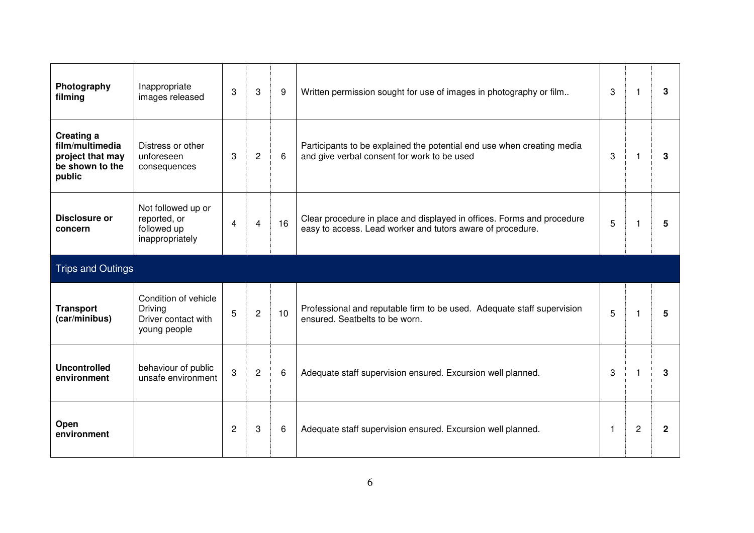| Photography<br>filming                                                                | Inappropriate<br>images released                                              | 3              | 3              | 9  | Written permission sought for use of images in photography or film                                                                   | 3            | 1              | 3              |
|---------------------------------------------------------------------------------------|-------------------------------------------------------------------------------|----------------|----------------|----|--------------------------------------------------------------------------------------------------------------------------------------|--------------|----------------|----------------|
| <b>Creating a</b><br>film/multimedia<br>project that may<br>be shown to the<br>public | Distress or other<br>unforeseen<br>consequences                               | 3              | 2              | 6  | Participants to be explained the potential end use when creating media<br>and give verbal consent for work to be used                | 3            | -1             | 3              |
| Disclosure or<br>concern                                                              | Not followed up or<br>reported, or<br>followed up<br>inappropriately          | $\overline{4}$ | 4              | 16 | Clear procedure in place and displayed in offices. Forms and procedure<br>easy to access. Lead worker and tutors aware of procedure. | 5            | 1              | 5              |
| <b>Trips and Outings</b>                                                              |                                                                               |                |                |    |                                                                                                                                      |              |                |                |
| <b>Transport</b><br>(car/minibus)                                                     | Condition of vehicle<br><b>Driving</b><br>Driver contact with<br>young people | 5              | 2              | 10 | Professional and reputable firm to be used. Adequate staff supervision<br>ensured. Seatbelts to be worn.                             | 5            | -1             | 5              |
| <b>Uncontrolled</b><br>environment                                                    | behaviour of public<br>unsafe environment                                     | 3              | $\overline{2}$ | 6  | Adequate staff supervision ensured. Excursion well planned.                                                                          | 3            | 1              | 3              |
| Open<br>environment                                                                   |                                                                               | $\overline{2}$ | 3              | 6  | Adequate staff supervision ensured. Excursion well planned.                                                                          | $\mathbf{1}$ | $\overline{2}$ | $\overline{2}$ |